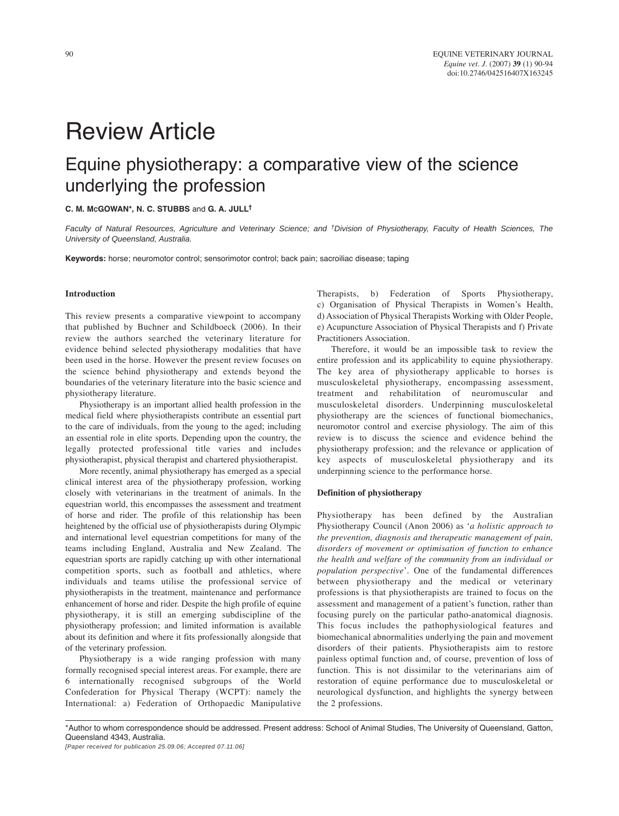# **Review Article**

# Equine physiotherapy: a comparative view of the science underlying the profession

C. M. McGOWAN\*, N. C. STUBBS and G. A. JULL<sup>†</sup>

Faculty of Natural Resources, Agriculture and Veterinary Science; and <sup>†</sup>Division of Physiotherapy, Faculty of Health Sciences, The University of Queensland, Australia.

Keywords: horse: neuromotor control: sensorimotor control: back pain: sacroiliac disease: taping

#### **Introduction**

This review presents a comparative viewpoint to accompany that published by Buchner and Schildboeck (2006). In their review the authors searched the veterinary literature for evidence behind selected physiotherapy modalities that have been used in the horse. However the present review focuses on the science behind physiotherapy and extends beyond the boundaries of the veterinary literature into the basic science and physiotherapy literature.

Physiotherapy is an important allied health profession in the medical field where physiotherapists contribute an essential part to the care of individuals, from the young to the aged; including an essential role in elite sports. Depending upon the country, the legally protected professional title varies and includes physiotherapist, physical therapist and chartered physiotherapist.

More recently, animal physiotherapy has emerged as a special clinical interest area of the physiotherapy profession, working closely with veterinarians in the treatment of animals. In the equestrian world, this encompasses the assessment and treatment of horse and rider. The profile of this relationship has been heightened by the official use of physiotherapists during Olympic and international level equestrian competitions for many of the teams including England, Australia and New Zealand. The equestrian sports are rapidly catching up with other international competition sports, such as football and athletics, where individuals and teams utilise the professional service of physiotherapists in the treatment, maintenance and performance enhancement of horse and rider. Despite the high profile of equine physiotherapy, it is still an emerging subdiscipline of the physiotherapy profession; and limited information is available about its definition and where it fits professionally alongside that of the veterinary profession.

Physiotherapy is a wide ranging profession with many formally recognised special interest areas. For example, there are 6 internationally recognised subgroups of the World Confederation for Physical Therapy (WCPT): namely the International: a) Federation of Orthopaedic Manipulative

Therapists, b) Federation of Sports Physiotherapy, c) Organisation of Physical Therapists in Women's Health, d) Association of Physical Therapists Working with Older People, e) Acupuncture Association of Physical Therapists and f) Private Practitioners Association.

Therefore, it would be an impossible task to review the entire profession and its applicability to equine physiotherapy. The key area of physiotherapy applicable to horses is musculoskeletal physiotherapy, encompassing assessment, treatment and rehabilitation of neuromuscular and musculoskeletal disorders. Underpinning musculoskeletal physiotherapy are the sciences of functional biomechanics, neuromotor control and exercise physiology. The aim of this review is to discuss the science and evidence behind the physiotherapy profession; and the relevance or application of key aspects of musculoskeletal physiotherapy and its underpinning science to the performance horse.

## **Definition of physiotherapy**

Physiotherapy has been defined by the Australian Physiotherapy Council (Anon 2006) as 'a holistic approach to the prevention, diagnosis and therapeutic management of pain, disorders of movement or optimisation of function to enhance the health and welfare of the community from an individual or *population perspective*'. One of the fundamental differences between physiotherapy and the medical or veterinary professions is that physiotherapists are trained to focus on the assessment and management of a patient's function, rather than focusing purely on the particular patho-anatomical diagnosis. This focus includes the pathophysiological features and biomechanical abnormalities underlying the pain and movement disorders of their patients. Physiotherapists aim to restore painless optimal function and, of course, prevention of loss of function. This is not dissimilar to the veterinarians aim of restoration of equine performance due to musculoskeletal or neurological dysfunction, and highlights the synergy between the 2 professions.

\*Author to whom correspondence should be addressed. Present address: School of Animal Studies, The University of Queensland, Gatton, Queensland 4343, Australia. [Paper received for publication 25.09.06; Accepted 07.11.06]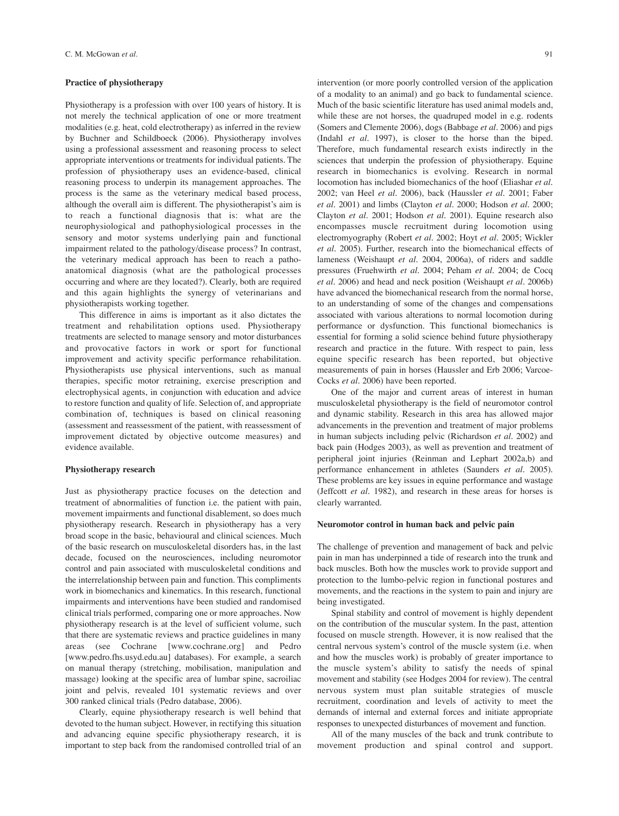#### **Practice of physiotherapy**

Physiotherapy is a profession with over 100 years of history. It is not merely the technical application of one or more treatment modalities (e.g. heat, cold electrotherapy) as inferred in the review by Buchner and Schildboeck (2006). Physiotherapy involves using a professional assessment and reasoning process to select appropriate interventions or treatments for individual patients. The profession of physiotherapy uses an evidence-based, clinical reasoning process to underpin its management approaches. The process is the same as the veterinary medical based process, although the overall aim is different. The physiotherapist's aim is to reach a functional diagnosis that is: what are the neurophysiological and pathophysiological processes in the sensory and motor systems underlying pain and functional impairment related to the pathology/disease process? In contrast, the veterinary medical approach has been to reach a pathoanatomical diagnosis (what are the pathological processes occurring and where are they located?). Clearly, both are required and this again highlights the synergy of veterinarians and physiotherapists working together.

This difference in aims is important as it also dictates the treatment and rehabilitation options used. Physiotherapy treatments are selected to manage sensory and motor disturbances and provocative factors in work or sport for functional improvement and activity specific performance rehabilitation. Physiotherapists use physical interventions, such as manual therapies, specific motor retraining, exercise prescription and electrophysical agents, in conjunction with education and advice to restore function and quality of life. Selection of, and appropriate combination of, techniques is based on clinical reasoning (assessment and reassessment of the patient, with reassessment of improvement dictated by objective outcome measures) and evidence available.

#### **Physiotherapy research**

Just as physiotherapy practice focuses on the detection and treatment of abnormalities of function i.e. the patient with pain, movement impairments and functional disablement, so does much physiotherapy research. Research in physiotherapy has a very broad scope in the basic, behavioural and clinical sciences. Much of the basic research on musculoskeletal disorders has, in the last decade, focused on the neurosciences, including neuromotor control and pain associated with musculoskeletal conditions and the interrelationship between pain and function. This compliments work in biomechanics and kinematics. In this research, functional impairments and interventions have been studied and randomised clinical trials performed, comparing one or more approaches. Now physiotherapy research is at the level of sufficient volume, such that there are systematic reviews and practice guidelines in many areas (see Cochrane [www.cochrane.org] and Pedro [www.pedro.fhs.usyd.edu.au] databases). For example, a search on manual therapy (stretching, mobilisation, manipulation and massage) looking at the specific area of lumbar spine, sacroiliac joint and pelvis, revealed 101 systematic reviews and over 300 ranked clinical trials (Pedro database, 2006).

Clearly, equine physiotherapy research is well behind that devoted to the human subject. However, in rectifying this situation and advancing equine specific physiotherapy research, it is important to step back from the randomised controlled trial of an

intervention (or more poorly controlled version of the application of a modality to an animal) and go back to fundamental science. Much of the basic scientific literature has used animal models and, while these are not horses, the quadruped model in e.g. rodents (Somers and Clemente 2006), dogs (Babbage et al. 2006) and pigs (Indahl et al. 1997), is closer to the horse than the biped. Therefore, much fundamental research exists indirectly in the sciences that underpin the profession of physiotherapy. Equine research in biomechanics is evolving. Research in normal locomotion has included biomechanics of the hoof (Eliashar et al. 2002; van Heel et al. 2006), back (Haussler et al. 2001; Faber et al. 2001) and limbs (Clayton et al. 2000; Hodson et al. 2000; Clayton et al. 2001; Hodson et al. 2001). Equine research also encompasses muscle recruitment during locomotion using electromyography (Robert et al. 2002; Hoyt et al. 2005; Wickler et al. 2005). Further, research into the biomechanical effects of lameness (Weishaupt et al. 2004, 2006a), of riders and saddle pressures (Fruehwirth et al. 2004; Peham et al. 2004; de Cocq et al. 2006) and head and neck position (Weishaupt et al. 2006b) have advanced the biomechanical research from the normal horse, to an understanding of some of the changes and compensations associated with various alterations to normal locomotion during performance or dysfunction. This functional biomechanics is essential for forming a solid science behind future physiotherapy research and practice in the future. With respect to pain, less equine specific research has been reported, but objective measurements of pain in horses (Haussler and Erb 2006; Varcoe-Cocks et al. 2006) have been reported.

One of the major and current areas of interest in human musculoskeletal physiotherapy is the field of neuromotor control and dynamic stability. Research in this area has allowed major advancements in the prevention and treatment of major problems in human subjects including pelvic (Richardson et al. 2002) and back pain (Hodges 2003), as well as prevention and treatment of peripheral joint injuries (Reinman and Lephart 2002a,b) and performance enhancement in athletes (Saunders et al. 2005). These problems are key issues in equine performance and wastage (Jeffcott et al. 1982), and research in these areas for horses is clearly warranted.

## Neuromotor control in human back and pelvic pain

The challenge of prevention and management of back and pelvic pain in man has underpinned a tide of research into the trunk and back muscles. Both how the muscles work to provide support and protection to the lumbo-pelvic region in functional postures and movements, and the reactions in the system to pain and injury are being investigated.

Spinal stability and control of movement is highly dependent on the contribution of the muscular system. In the past, attention focused on muscle strength. However, it is now realised that the central nervous system's control of the muscle system (i.e. when and how the muscles work) is probably of greater importance to the muscle system's ability to satisfy the needs of spinal movement and stability (see Hodges 2004 for review). The central nervous system must plan suitable strategies of muscle recruitment, coordination and levels of activity to meet the demands of internal and external forces and initiate appropriate responses to unexpected disturbances of movement and function.

All of the many muscles of the back and trunk contribute to movement production and spinal control and support.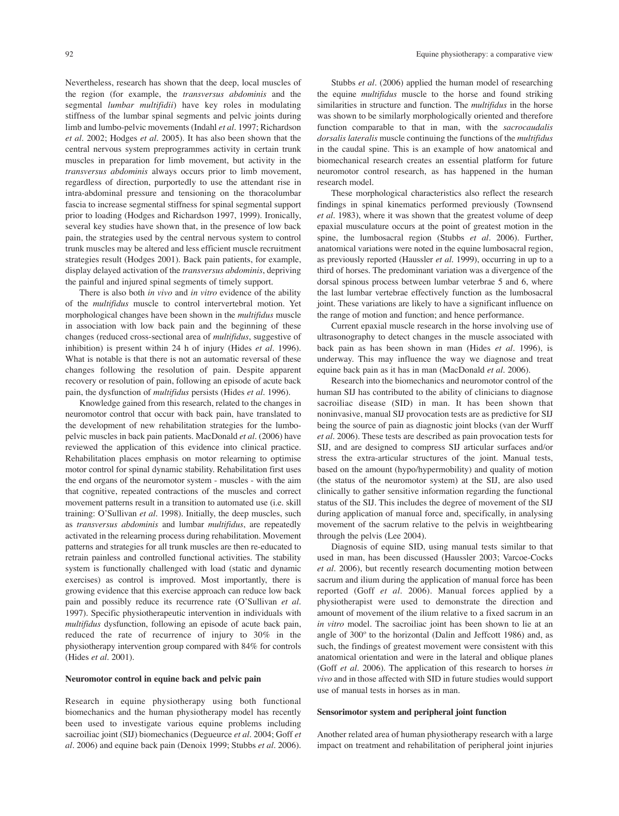Nevertheless, research has shown that the deep, local muscles of the region (for example, the *transversus abdominis* and the segmental lumbar multifidii) have key roles in modulating stiffness of the lumbar spinal segments and pelvic joints during limb and lumbo-pelvic movements (Indahl et al. 1997; Richardson et al. 2002; Hodges et al. 2005). It has also been shown that the central nervous system preprogrammes activity in certain trunk muscles in preparation for limb movement, but activity in the transversus abdominis always occurs prior to limb movement, regardless of direction, purportedly to use the attendant rise in intra-abdominal pressure and tensioning on the thoracolumbar fascia to increase segmental stiffness for spinal segmental support prior to loading (Hodges and Richardson 1997, 1999). Ironically, several key studies have shown that, in the presence of low back pain, the strategies used by the central nervous system to control trunk muscles may be altered and less efficient muscle recruitment strategies result (Hodges 2001). Back pain patients, for example, display delayed activation of the *transversus abdominis*, depriving the painful and injured spinal segments of timely support.

There is also both in vivo and in vitro evidence of the ability of the multifidus muscle to control intervertebral motion. Yet morphological changes have been shown in the *multifidus* muscle in association with low back pain and the beginning of these changes (reduced cross-sectional area of multifidus, suggestive of inhibition) is present within 24 h of injury (Hides *et al.* 1996). What is notable is that there is not an automatic reversal of these changes following the resolution of pain. Despite apparent recovery or resolution of pain, following an episode of acute back pain, the dysfunction of *multifidus* persists (Hides et al. 1996).

Knowledge gained from this research, related to the changes in neuromotor control that occur with back pain, have translated to the development of new rehabilitation strategies for the lumbopelvic muscles in back pain patients. MacDonald et al. (2006) have reviewed the application of this evidence into clinical practice. Rehabilitation places emphasis on motor relearning to optimise motor control for spinal dynamic stability. Rehabilitation first uses the end organs of the neuromotor system - muscles - with the aim that cognitive, repeated contractions of the muscles and correct movement patterns result in a transition to automated use (i.e. skill training: O'Sullivan et al. 1998). Initially, the deep muscles, such as transversus abdominis and lumbar multifidus, are repeatedly activated in the relearning process during rehabilitation. Movement patterns and strategies for all trunk muscles are then re-educated to retrain painless and controlled functional activities. The stability system is functionally challenged with load (static and dynamic exercises) as control is improved. Most importantly, there is growing evidence that this exercise approach can reduce low back pain and possibly reduce its recurrence rate (O'Sullivan et al. 1997). Specific physiotherapeutic intervention in individuals with multifidus dysfunction, following an episode of acute back pain, reduced the rate of recurrence of injury to 30% in the physiotherapy intervention group compared with 84% for controls (Hides et al. 2001).

## Neuromotor control in equine back and pelvic pain

Research in equine physiotherapy using both functional biomechanics and the human physiotherapy model has recently been used to investigate various equine problems including sacroiliac joint (SIJ) biomechanics (Degueurce et al. 2004; Goff et al. 2006) and equine back pain (Denoix 1999; Stubbs et al. 2006).

Stubbs et al. (2006) applied the human model of researching the equine *multifidus* muscle to the horse and found striking similarities in structure and function. The *multifidus* in the horse was shown to be similarly morphologically oriented and therefore function comparable to that in man, with the sacrocaudalis dorsalis lateralis muscle continuing the functions of the multifidus in the caudal spine. This is an example of how anatomical and biomechanical research creates an essential platform for future neuromotor control research, as has happened in the human research model.

These morphological characteristics also reflect the research findings in spinal kinematics performed previously (Townsend et al. 1983), where it was shown that the greatest volume of deep epaxial musculature occurs at the point of greatest motion in the spine, the lumbosacral region (Stubbs et al. 2006). Further, anatomical variations were noted in the equine lumbosacral region, as previously reported (Haussler et al. 1999), occurring in up to a third of horses. The predominant variation was a divergence of the dorsal spinous process between lumbar veterbrae 5 and 6, where the last lumbar vertebrae effectively function as the lumbosacral joint. These variations are likely to have a significant influence on the range of motion and function; and hence performance.

Current epaxial muscle research in the horse involving use of ultrasonography to detect changes in the muscle associated with back pain as has been shown in man (Hides et al. 1996), is underway. This may influence the way we diagnose and treat equine back pain as it has in man (MacDonald *et al.* 2006).

Research into the biomechanics and neuromotor control of the human SIJ has contributed to the ability of clinicians to diagnose sacroiliac disease (SID) in man. It has been shown that noninvasive, manual SIJ provocation tests are as predictive for SIJ being the source of pain as diagnostic joint blocks (van der Wurff et al. 2006). These tests are described as pain provocation tests for SIJ, and are designed to compress SIJ articular surfaces and/or stress the extra-articular structures of the joint. Manual tests, based on the amount (hypo/hypermobility) and quality of motion (the status of the neuromotor system) at the SIJ, are also used clinically to gather sensitive information regarding the functional status of the SIJ. This includes the degree of movement of the SIJ during application of manual force and, specifically, in analysing movement of the sacrum relative to the pelvis in weightbearing through the pelvis (Lee 2004).

Diagnosis of equine SID, using manual tests similar to that used in man, has been discussed (Haussler 2003; Varcoe-Cocks et al. 2006), but recently research documenting motion between sacrum and ilium during the application of manual force has been reported (Goff et al. 2006). Manual forces applied by a physiotherapist were used to demonstrate the direction and amount of movement of the ilium relative to a fixed sacrum in an in vitro model. The sacroiliac joint has been shown to lie at an angle of 300° to the horizontal (Dalin and Jeffcott 1986) and, as such, the findings of greatest movement were consistent with this anatomical orientation and were in the lateral and oblique planes (Goff et al. 2006). The application of this research to horses in vivo and in those affected with SID in future studies would support use of manual tests in horses as in man.

## Sensorimotor system and peripheral joint function

Another related area of human physiotherapy research with a large impact on treatment and rehabilitation of peripheral joint injuries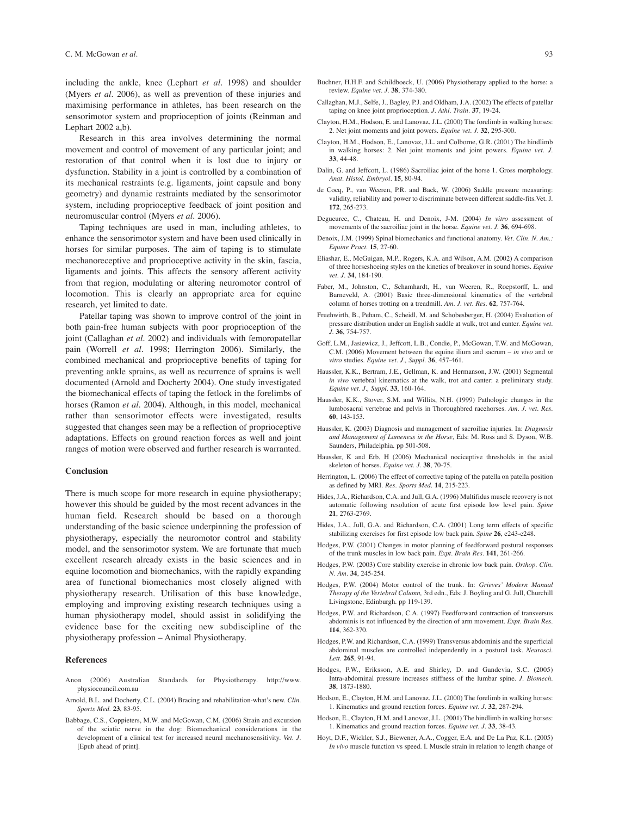including the ankle, knee (Lephart et al. 1998) and shoulder (Myers et al. 2006), as well as prevention of these injuries and maximising performance in athletes, has been research on the sensorimotor system and proprioception of joints (Reinman and Lephart 2002 a,b).

Research in this area involves determining the normal movement and control of movement of any particular joint; and restoration of that control when it is lost due to injury or dysfunction. Stability in a joint is controlled by a combination of its mechanical restraints (e.g. ligaments, joint capsule and bony geometry) and dynamic restraints mediated by the sensorimotor system, including proprioceptive feedback of joint position and neuromuscular control (Myers et al. 2006).

Taping techniques are used in man, including athletes, to enhance the sensorimotor system and have been used clinically in horses for similar purposes. The aim of taping is to stimulate mechanoreceptive and proprioceptive activity in the skin, fascia, ligaments and joints. This affects the sensory afferent activity from that region, modulating or altering neuromotor control of locomotion. This is clearly an appropriate area for equine research, yet limited to date.

Patellar taping was shown to improve control of the joint in both pain-free human subjects with poor proprioception of the joint (Callaghan et al. 2002) and individuals with femoropatellar pain (Worrell et al. 1998; Herrington 2006). Similarly, the combined mechanical and proprioceptive benefits of taping for preventing ankle sprains, as well as recurrence of sprains is well documented (Arnold and Docherty 2004). One study investigated the biomechanical effects of taping the fetlock in the forelimbs of horses (Ramon et al. 2004). Although, in this model, mechanical rather than sensorimotor effects were investigated, results suggested that changes seen may be a reflection of proprioceptive adaptations. Effects on ground reaction forces as well and joint ranges of motion were observed and further research is warranted.

#### Conclusion

There is much scope for more research in equine physiotherapy; however this should be guided by the most recent advances in the human field. Research should be based on a thorough understanding of the basic science underpinning the profession of physiotherapy, especially the neuromotor control and stability model, and the sensorimotor system. We are fortunate that much excellent research already exists in the basic sciences and in equine locomotion and biomechanics, with the rapidly expanding area of functional biomechanics most closely aligned with physiotherapy research. Utilisation of this base knowledge, employing and improving existing research techniques using a human physiotherapy model, should assist in solidifying the evidence base for the exciting new subdiscipline of the physiotherapy profession - Animal Physiotherapy.

#### **References**

- Anon (2006) Australian Standards for Physiotherapy. http://www. physiocouncil.com.au
- Arnold, B.L. and Docherty, C.L. (2004) Bracing and rehabilitation-what's new. Clin. Sports Med. 23, 83-95.
- Babbage, C.S., Coppieters, M.W. and McGowan, C.M. (2006) Strain and excursion of the sciatic nerve in the dog: Biomechanical considerations in the development of a clinical test for increased neural mechanosensitivity. Vet. J. [Epub ahead of print].
- Buchner, H.H.F. and Schildboeck, U. (2006) Physiotherapy applied to the horse: a review. Equine yet. J. 38, 374-380.
- Callaghan, M.J., Selfe, J., Bagley, P.J. and Oldham, J.A. (2002) The effects of patellar taping on knee joint proprioception. J. Athl. Train. 37, 19-24.
- Clayton, H.M., Hodson, E. and Lanovaz, J.L. (2000) The forelimb in walking horses: 2. Net joint moments and joint powers. Equine vet. J. 32, 295-300.
- Clayton, H.M., Hodson, E., Lanovaz, J.L. and Colborne, G.R. (2001) The hindlimb in walking horses: 2. Net joint moments and joint powers. Equine vet. J. 33, 44-48.
- Dalin, G. and Jeffcott, L. (1986) Sacroiliac joint of the horse 1. Gross morphology. Anat. Histol. Embryol. 15, 80-94.
- de Cocq, P., van Weeren, P.R. and Back, W. (2006) Saddle pressure measuring: validity, reliability and power to discriminate between different saddle-fits. Vet. J. 172, 265-273.
- Degueurce, C., Chateau, H. and Denoix, J-M. (2004) In vitro assessment of movements of the sacroiliac joint in the horse. Equine vet. J. 36, 694-698.
- Denoix, J.M. (1999) Spinal biomechanics and functional anatomy. Vet. Clin. N. Am.: Equine Pract. 15, 27-60.
- Eliashar, E., McGuigan, M.P., Rogers, K.A. and Wilson, A.M. (2002) A comparison of three horseshoeing styles on the kinetics of breakover in sound horses. Equine vet. J. 34, 184-190.
- Faber, M., Johnston, C., Schamhardt, H., van Weeren, R., Roepstorff, L. and Barneveld, A. (2001) Basic three-dimensional kinematics of the vertebral column of horses trotting on a treadmill. Am. J. vet. Res. 62, 757-764.
- Fruehwirth, B., Peham, C., Scheidl, M. and Schobesberger, H. (2004) Evaluation of pressure distribution under an English saddle at walk, trot and canter. Equine vet.  $1.36$  754-757
- Goff, L.M., Jasiewicz, J., Jeffcott, L.B., Condie, P., McGowan, T.W. and McGowan, C.M. (2006) Movement between the equine illum and sacrum – in vivo and in vitro studies. Equine vet. J., Suppl. 36, 457-461.
- Haussler, K.K., Bertram, J.E., Gellman, K. and Hermanson, J.W. (2001) Segmental in vivo vertebral kinematics at the walk, trot and canter: a preliminary study. Equine vet. J., Suppl. 33, 160-164.
- Haussler, K.K., Stover, S.M. and Willits, N.H. (1999) Pathologic changes in the lumbosacral vertebrae and pelvis in Thoroughbred racehorses. Am. J. vet. Res. 60, 143-153.
- Haussler, K. (2003) Diagnosis and management of sacroiliac injuries. In: Diagnosis and Management of Lameness in the Horse, Eds: M. Ross and S. Dyson, W.B. Saunders, Philadelphia. pp 501-508.
- Haussler, K and Erb, H (2006) Mechanical nociceptive thresholds in the axial skeleton of horses. Equine vet. J. 38, 70-75.
- Herrington, L. (2006) The effect of corrective taping of the patella on patella position as defined by MRI. Res. Sports Med. 14, 215-223.
- Hides, J.A., Richardson, C.A. and Jull, G.A. (1996) Multifidus muscle recovery is not automatic following resolution of acute first episode low level pain. Spine 21, 2763-2769.
- Hides, J.A., Jull, G.A. and Richardson, C.A. (2001) Long term effects of specific stabilizing exercises for first episode low back pain. Spine 26, e243-e248.
- Hodges, P.W. (2001) Changes in motor planning of feedforward postural responses of the trunk muscles in low back pain. Expt. Brain Res. 141, 261-266.
- Hodges, P.W. (2003) Core stability exercise in chronic low back pain. Orthop. Clin. N. Am. 34, 245-254.
- Hodges, P.W. (2004) Motor control of the trunk. In: Grieves' Modern Manual Therapy of the Vertebral Column, 3rd edn., Eds: J. Boyling and G. Jull, Churchill Livingstone, Edinburgh. pp 119-139.
- Hodges, P.W. and Richardson, C.A. (1997) Feedforward contraction of transversus abdominis is not influenced by the direction of arm movement. *Expt. Brain Res.* 114. 362-370.
- Hodges, P.W. and Richardson, C.A. (1999) Transversus abdominis and the superficial abdominal muscles are controlled independently in a postural task. Neurosci. Lett. 265, 91-94.
- Hodges, P.W., Eriksson, A.E. and Shirley, D. and Gandevia, S.C. (2005) Intra-abdominal pressure increases stiffness of the lumbar spine. J. Biomech. 38, 1873-1880.
- Hodson, E., Clayton, H.M. and Lanovaz, J.L. (2000) The forelimb in walking horses: 1. Kinematics and ground reaction forces. Equine vet. J. 32, 287-294.
- Hodson, E., Clayton, H.M. and Lanovaz, J.L. (2001) The hindlimb in walking horses: 1. Kinematics and ground reaction forces. Equine vet. J. 33, 38-43.
- Hoyt, D.F., Wickler, S.J., Biewener, A.A., Cogger, E.A. and De La Paz, K.L. (2005) In vivo muscle function vs speed. I. Muscle strain in relation to length change of